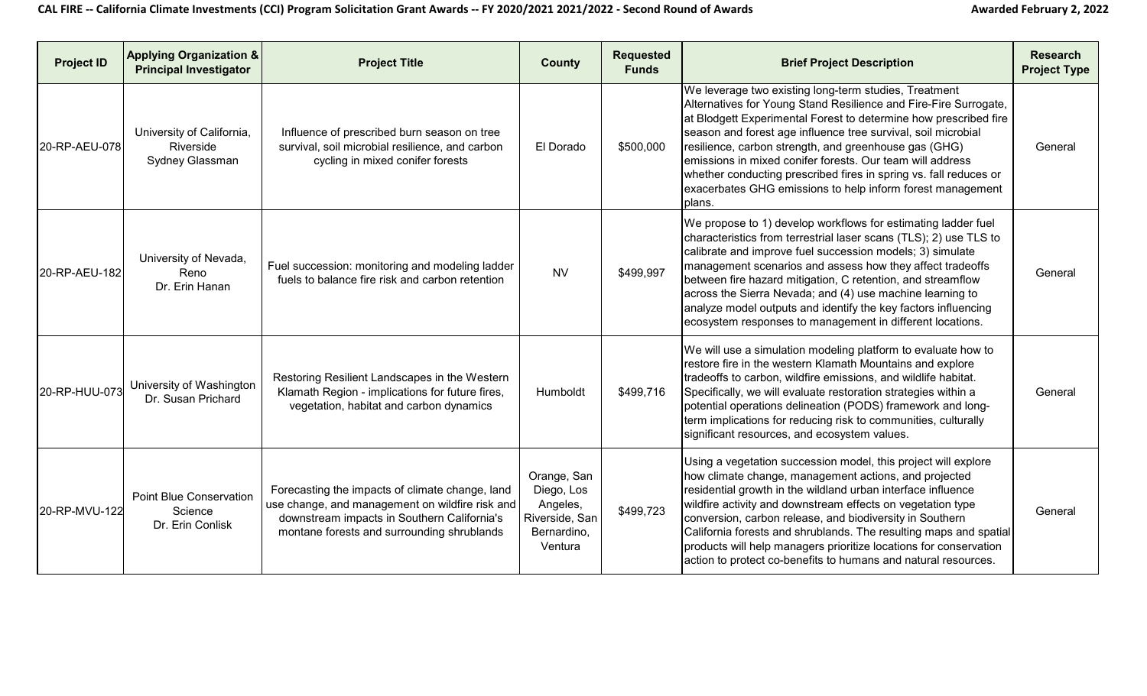| <b>Project ID</b> | <b>Applying Organization &amp;</b><br><b>Principal Investigator</b> | <b>Project Title</b>                                                                                                                                                                            | <b>County</b>                                                                     | <b>Requested</b><br><b>Funds</b> | <b>Brief Project Description</b>                                                                                                                                                                                                                                                                                                                                                                                                                                                                                                  | <b>Research</b><br><b>Project Type</b> |
|-------------------|---------------------------------------------------------------------|-------------------------------------------------------------------------------------------------------------------------------------------------------------------------------------------------|-----------------------------------------------------------------------------------|----------------------------------|-----------------------------------------------------------------------------------------------------------------------------------------------------------------------------------------------------------------------------------------------------------------------------------------------------------------------------------------------------------------------------------------------------------------------------------------------------------------------------------------------------------------------------------|----------------------------------------|
| 20-RP-AEU-078     | University of California,<br>Riverside<br>Sydney Glassman           | Influence of prescribed burn season on tree<br>survival, soil microbial resilience, and carbon<br>cycling in mixed conifer forests                                                              | El Dorado                                                                         | \$500,000                        | We leverage two existing long-term studies, Treatment<br>Alternatives for Young Stand Resilience and Fire-Fire Surrogate,<br>at Blodgett Experimental Forest to determine how prescribed fire<br>season and forest age influence tree survival, soil microbial<br>resilience, carbon strength, and greenhouse gas (GHG)<br>emissions in mixed conifer forests. Our team will address<br>whether conducting prescribed fires in spring vs. fall reduces or<br>exacerbates GHG emissions to help inform forest management<br>plans. | General                                |
| 20-RP-AEU-182     | University of Nevada,<br>Reno<br>Dr. Erin Hanan                     | Fuel succession: monitoring and modeling ladder<br>fuels to balance fire risk and carbon retention                                                                                              | <b>NV</b>                                                                         | \$499,997                        | We propose to 1) develop workflows for estimating ladder fuel<br>characteristics from terrestrial laser scans (TLS); 2) use TLS to<br>calibrate and improve fuel succession models; 3) simulate<br>management scenarios and assess how they affect tradeoffs<br>between fire hazard mitigation, C retention, and streamflow<br>across the Sierra Nevada; and (4) use machine learning to<br>analyze model outputs and identify the key factors influencing<br>ecosystem responses to management in different locations.           | General                                |
| 20-RP-HUU-073     | University of Washington<br>Dr. Susan Prichard                      | Restoring Resilient Landscapes in the Western<br>Klamath Region - implications for future fires,<br>vegetation, habitat and carbon dynamics                                                     | Humboldt                                                                          | \$499,716                        | We will use a simulation modeling platform to evaluate how to<br>restore fire in the western Klamath Mountains and explore<br>tradeoffs to carbon, wildfire emissions, and wildlife habitat.<br>Specifically, we will evaluate restoration strategies within a<br>potential operations delineation (PODS) framework and long-<br>term implications for reducing risk to communities, culturally<br>significant resources, and ecosystem values.                                                                                   | General                                |
| 20-RP-MVU-122     | <b>Point Blue Conservation</b><br>Science<br>Dr. Erin Conlisk       | Forecasting the impacts of climate change, land<br>use change, and management on wildfire risk and<br>downstream impacts in Southern California's<br>montane forests and surrounding shrublands | Orange, San<br>Diego, Los<br>Angeles,<br>Riverside, San<br>Bernardino,<br>Ventura | \$499,723                        | Using a vegetation succession model, this project will explore<br>how climate change, management actions, and projected<br>residential growth in the wildland urban interface influence<br>wildfire activity and downstream effects on vegetation type<br>conversion, carbon release, and biodiversity in Southern<br>California forests and shrublands. The resulting maps and spatial<br>products will help managers prioritize locations for conservation<br>action to protect co-benefits to humans and natural resources.    | General                                |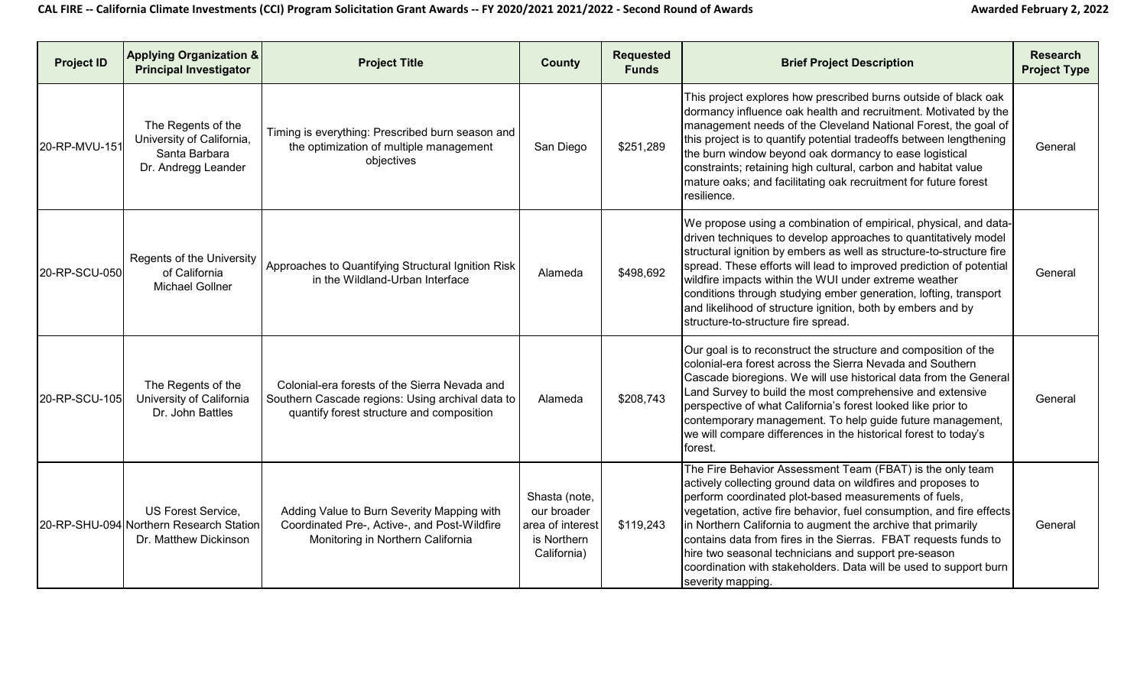| <b>Project ID</b> | <b>Applying Organization &amp;</b><br><b>Principal Investigator</b>                     | <b>Project Title</b>                                                                                                                           | <b>County</b>                                                                  | <b>Requested</b><br><b>Funds</b> | <b>Brief Project Description</b>                                                                                                                                                                                                                                                                                                                                                                                                                                                                                                                | <b>Research</b><br><b>Project Type</b> |
|-------------------|-----------------------------------------------------------------------------------------|------------------------------------------------------------------------------------------------------------------------------------------------|--------------------------------------------------------------------------------|----------------------------------|-------------------------------------------------------------------------------------------------------------------------------------------------------------------------------------------------------------------------------------------------------------------------------------------------------------------------------------------------------------------------------------------------------------------------------------------------------------------------------------------------------------------------------------------------|----------------------------------------|
| 20-RP-MVU-151     | The Regents of the<br>University of California,<br>Santa Barbara<br>Dr. Andregg Leander | Timing is everything: Prescribed burn season and<br>the optimization of multiple management<br>objectives                                      | San Diego                                                                      | \$251,289                        | This project explores how prescribed burns outside of black oak<br>dormancy influence oak health and recruitment. Motivated by the<br>management needs of the Cleveland National Forest, the goal of<br>this project is to quantify potential tradeoffs between lengthening<br>the burn window beyond oak dormancy to ease logistical<br>constraints; retaining high cultural, carbon and habitat value<br>mature oaks; and facilitating oak recruitment for future forest<br>resilience.                                                       | General                                |
| 20-RP-SCU-050     | Regents of the University<br>of California<br><b>Michael Gollner</b>                    | Approaches to Quantifying Structural Ignition Risk<br>in the Wildland-Urban Interface                                                          | Alameda                                                                        | \$498,692                        | We propose using a combination of empirical, physical, and data-<br>driven techniques to develop approaches to quantitatively model<br>structural ignition by embers as well as structure-to-structure fire<br>spread. These efforts will lead to improved prediction of potential<br>wildfire impacts within the WUI under extreme weather<br>conditions through studying ember generation, lofting, transport<br>and likelihood of structure ignition, both by embers and by<br>structure-to-structure fire spread.                           | General                                |
| 20-RP-SCU-105     | The Regents of the<br>University of California<br>Dr. John Battles                      | Colonial-era forests of the Sierra Nevada and<br>Southern Cascade regions: Using archival data to<br>quantify forest structure and composition | Alameda                                                                        | \$208,743                        | Our goal is to reconstruct the structure and composition of the<br>colonial-era forest across the Sierra Nevada and Southern<br>Cascade bioregions. We will use historical data from the General<br>Land Survey to build the most comprehensive and extensive<br>perspective of what California's forest looked like prior to<br>contemporary management. To help guide future management,<br>we will compare differences in the historical forest to today's<br>forest.                                                                        | General                                |
|                   | US Forest Service,<br>20-RP-SHU-094 Northern Research Station<br>Dr. Matthew Dickinson  | Adding Value to Burn Severity Mapping with<br>Coordinated Pre-, Active-, and Post-Wildfire<br>Monitoring in Northern California                | Shasta (note,<br>our broader<br>area of interest<br>is Northern<br>California) | \$119,243                        | The Fire Behavior Assessment Team (FBAT) is the only team<br>actively collecting ground data on wildfires and proposes to<br>perform coordinated plot-based measurements of fuels,<br>vegetation, active fire behavior, fuel consumption, and fire effects<br>in Northern California to augment the archive that primarily<br>contains data from fires in the Sierras. FBAT requests funds to<br>hire two seasonal technicians and support pre-season<br>coordination with stakeholders. Data will be used to support burn<br>severity mapping. | General                                |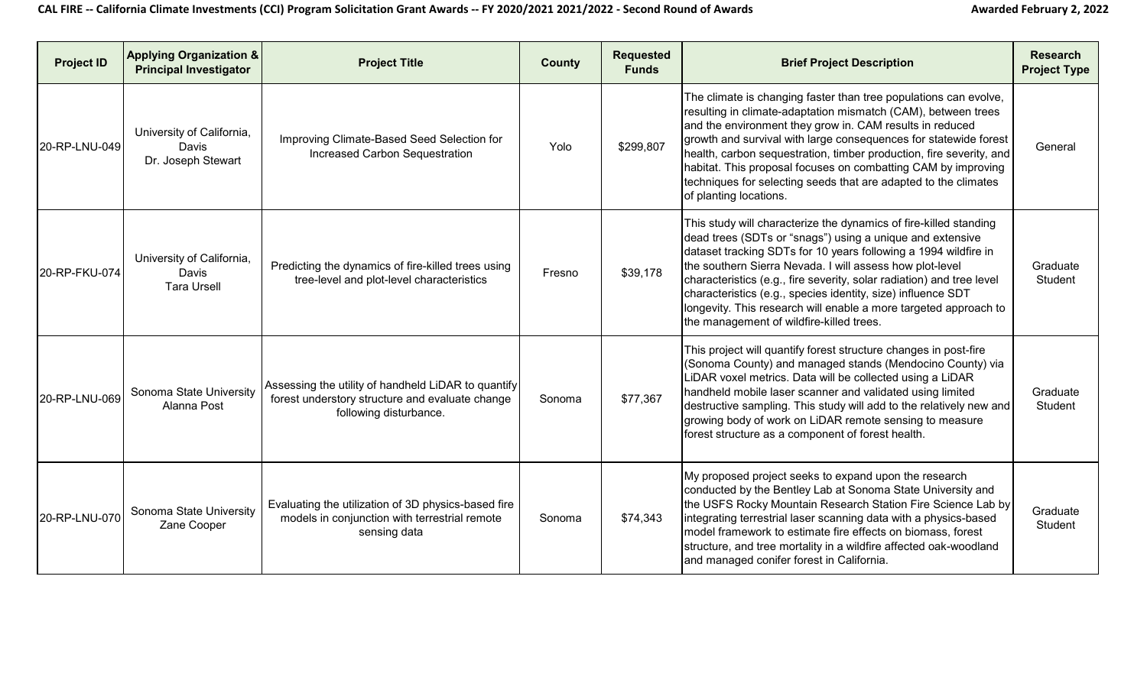| <b>Project ID</b> | <b>Applying Organization &amp;</b><br><b>Principal Investigator</b> | <b>Project Title</b>                                                                                                             | <b>County</b> | <b>Requested</b><br><b>Funds</b> | <b>Brief Project Description</b>                                                                                                                                                                                                                                                                                                                                                                                                                                                                                       | <b>Research</b><br><b>Project Type</b> |
|-------------------|---------------------------------------------------------------------|----------------------------------------------------------------------------------------------------------------------------------|---------------|----------------------------------|------------------------------------------------------------------------------------------------------------------------------------------------------------------------------------------------------------------------------------------------------------------------------------------------------------------------------------------------------------------------------------------------------------------------------------------------------------------------------------------------------------------------|----------------------------------------|
| 20-RP-LNU-049     | University of California,<br>Davis<br>Dr. Joseph Stewart            | Improving Climate-Based Seed Selection for<br>Increased Carbon Sequestration                                                     | Yolo          | \$299,807                        | The climate is changing faster than tree populations can evolve,<br>resulting in climate-adaptation mismatch (CAM), between trees<br>and the environment they grow in. CAM results in reduced<br>growth and survival with large consequences for statewide forest<br>health, carbon sequestration, timber production, fire severity, and<br>habitat. This proposal focuses on combatting CAM by improving<br>techniques for selecting seeds that are adapted to the climates<br>of planting locations.                 | General                                |
| 20-RP-FKU-074     | University of California,<br>Davis<br><b>Tara Ursell</b>            | Predicting the dynamics of fire-killed trees using<br>tree-level and plot-level characteristics                                  | Fresno        | \$39,178                         | This study will characterize the dynamics of fire-killed standing<br>dead trees (SDTs or "snags") using a unique and extensive<br>dataset tracking SDTs for 10 years following a 1994 wildfire in<br>the southern Sierra Nevada. I will assess how plot-level<br>characteristics (e.g., fire severity, solar radiation) and tree level<br>characteristics (e.g., species identity, size) influence SDT<br>longevity. This research will enable a more targeted approach to<br>the management of wildfire-killed trees. | Graduate<br>Student                    |
| 20-RP-LNU-069     | Sonoma State University<br>Alanna Post                              | Assessing the utility of handheld LiDAR to quantify<br>forest understory structure and evaluate change<br>following disturbance. | Sonoma        | \$77,367                         | This project will quantify forest structure changes in post-fire<br>(Sonoma County) and managed stands (Mendocino County) via<br>LiDAR voxel metrics. Data will be collected using a LiDAR<br>handheld mobile laser scanner and validated using limited<br>destructive sampling. This study will add to the relatively new and<br>growing body of work on LiDAR remote sensing to measure<br>forest structure as a component of forest health.                                                                         | Graduate<br>Student                    |
| 20-RP-LNU-070     | Sonoma State University<br>Zane Cooper                              | Evaluating the utilization of 3D physics-based fire<br>models in conjunction with terrestrial remote<br>sensing data             | Sonoma        | \$74,343                         | My proposed project seeks to expand upon the research<br>conducted by the Bentley Lab at Sonoma State University and<br>the USFS Rocky Mountain Research Station Fire Science Lab by<br>integrating terrestrial laser scanning data with a physics-based<br>model framework to estimate fire effects on biomass, forest<br>structure, and tree mortality in a wildfire affected oak-woodland<br>and managed conifer forest in California.                                                                              | Graduate<br>Student                    |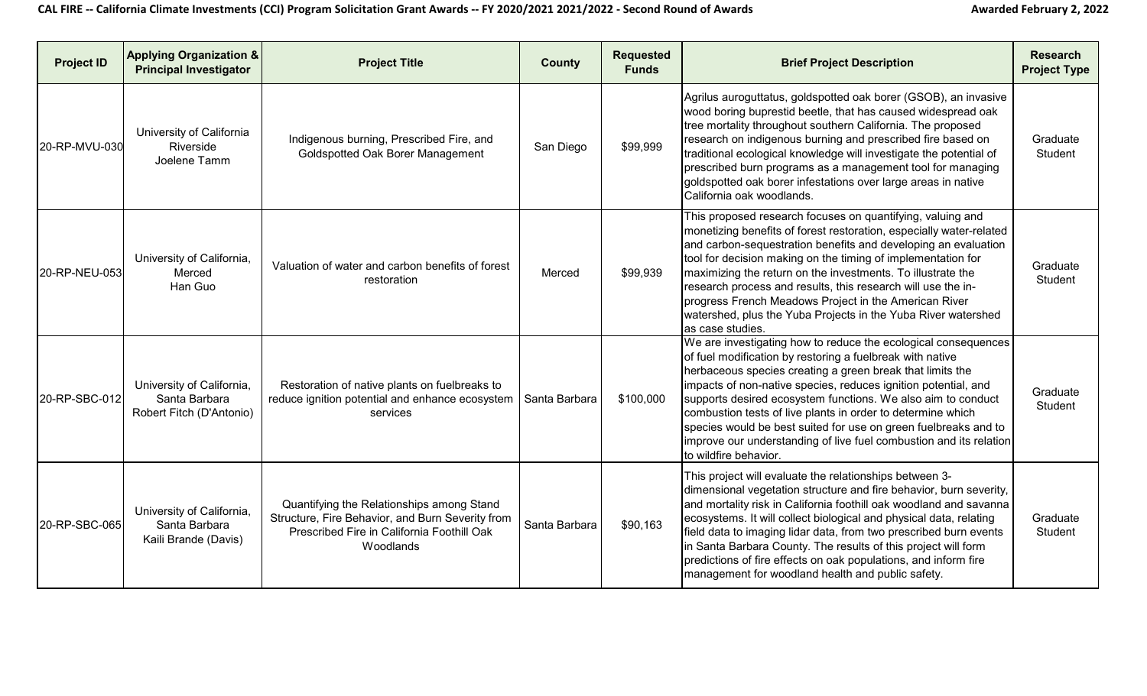| <b>Project ID</b> | <b>Applying Organization &amp;</b><br><b>Principal Investigator</b>    | <b>Project Title</b>                                                                                                                                            | <b>County</b> | <b>Requested</b><br><b>Funds</b> | <b>Brief Project Description</b>                                                                                                                                                                                                                                                                                                                                                                                                                                                                                                                            | <b>Research</b><br><b>Project Type</b> |
|-------------------|------------------------------------------------------------------------|-----------------------------------------------------------------------------------------------------------------------------------------------------------------|---------------|----------------------------------|-------------------------------------------------------------------------------------------------------------------------------------------------------------------------------------------------------------------------------------------------------------------------------------------------------------------------------------------------------------------------------------------------------------------------------------------------------------------------------------------------------------------------------------------------------------|----------------------------------------|
| 20-RP-MVU-030     | University of California<br>Riverside<br>Joelene Tamm                  | Indigenous burning, Prescribed Fire, and<br>Goldspotted Oak Borer Management                                                                                    | San Diego     | \$99,999                         | Agrilus auroguttatus, goldspotted oak borer (GSOB), an invasive<br>wood boring buprestid beetle, that has caused widespread oak<br>tree mortality throughout southern California. The proposed<br>research on indigenous burning and prescribed fire based on<br>traditional ecological knowledge will investigate the potential of<br>prescribed burn programs as a management tool for managing<br>goldspotted oak borer infestations over large areas in native<br>California oak woodlands.                                                             | Graduate<br>Student                    |
| 20-RP-NEU-053     | University of California,<br>Merced<br>Han Guo                         | Valuation of water and carbon benefits of forest<br>restoration                                                                                                 | Merced        | \$99,939                         | This proposed research focuses on quantifying, valuing and<br>monetizing benefits of forest restoration, especially water-related<br>and carbon-sequestration benefits and developing an evaluation<br>tool for decision making on the timing of implementation for<br>maximizing the return on the investments. To illustrate the<br>research process and results, this research will use the in-<br>progress French Meadows Project in the American River<br>watershed, plus the Yuba Projects in the Yuba River watershed<br>as case studies.            | Graduate<br>Student                    |
| 20-RP-SBC-012     | University of California,<br>Santa Barbara<br>Robert Fitch (D'Antonio) | Restoration of native plants on fuelbreaks to<br>reduce ignition potential and enhance ecosystem   Santa Barbara<br>services                                    |               | \$100,000                        | We are investigating how to reduce the ecological consequences<br>of fuel modification by restoring a fuelbreak with native<br>herbaceous species creating a green break that limits the<br>impacts of non-native species, reduces ignition potential, and<br>supports desired ecosystem functions. We also aim to conduct<br>combustion tests of live plants in order to determine which<br>species would be best suited for use on green fuelbreaks and to<br>improve our understanding of live fuel combustion and its relation<br>to wildfire behavior. | Graduate<br>Student                    |
| 20-RP-SBC-065     | University of California,<br>Santa Barbara<br>Kaili Brande (Davis)     | Quantifying the Relationships among Stand<br>Structure, Fire Behavior, and Burn Severity from<br>Prescribed Fire in California Foothill Oak<br><b>Woodlands</b> | Santa Barbara | \$90,163                         | This project will evaluate the relationships between 3-<br>dimensional vegetation structure and fire behavior, burn severity,<br>and mortality risk in California foothill oak woodland and savanna<br>ecosystems. It will collect biological and physical data, relating<br>field data to imaging lidar data, from two prescribed burn events<br>in Santa Barbara County. The results of this project will form<br>predictions of fire effects on oak populations, and inform fire<br>management for woodland health and public safety.                    | Graduate<br>Student                    |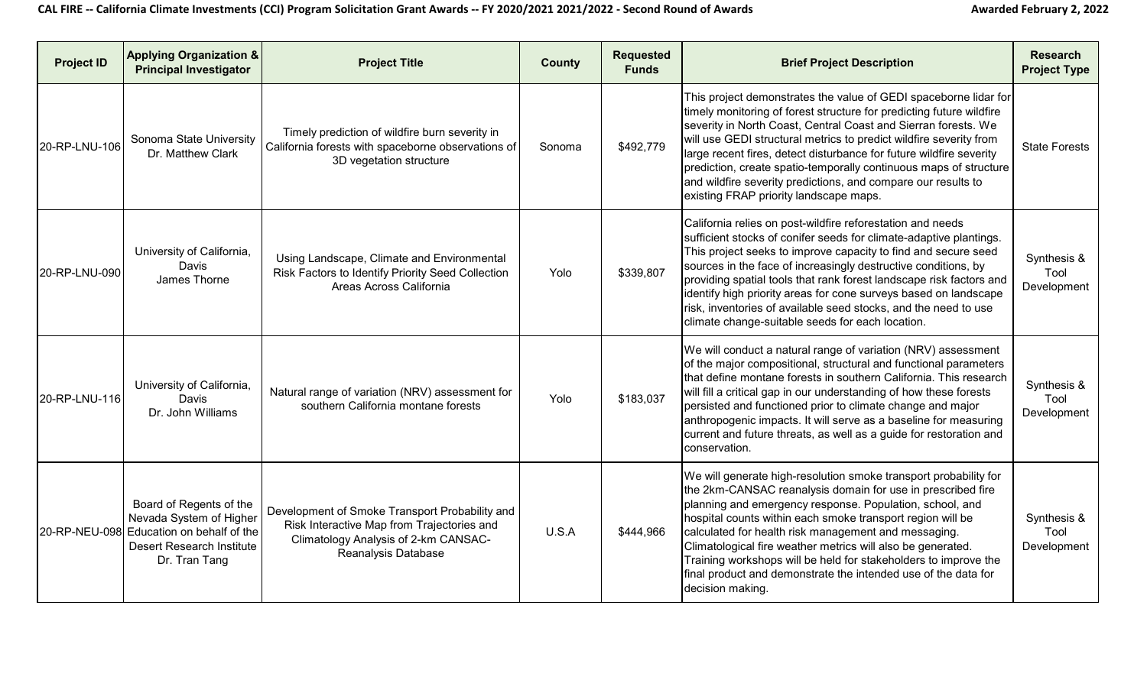| <b>Project ID</b> | <b>Applying Organization &amp;</b><br><b>Principal Investigator</b>                                                                          | <b>Project Title</b>                                                                                                                                        | <b>County</b> | <b>Requested</b><br><b>Funds</b> | <b>Brief Project Description</b>                                                                                                                                                                                                                                                                                                                                                                                                                                                                                                          | <b>Research</b><br><b>Project Type</b> |
|-------------------|----------------------------------------------------------------------------------------------------------------------------------------------|-------------------------------------------------------------------------------------------------------------------------------------------------------------|---------------|----------------------------------|-------------------------------------------------------------------------------------------------------------------------------------------------------------------------------------------------------------------------------------------------------------------------------------------------------------------------------------------------------------------------------------------------------------------------------------------------------------------------------------------------------------------------------------------|----------------------------------------|
| 20-RP-LNU-106     | Sonoma State University<br>Dr. Matthew Clark                                                                                                 | Timely prediction of wildfire burn severity in<br>California forests with spaceborne observations of<br>3D vegetation structure                             | Sonoma        | \$492,779                        | This project demonstrates the value of GEDI spaceborne lidar for<br>timely monitoring of forest structure for predicting future wildfire<br>severity in North Coast, Central Coast and Sierran forests. We<br>will use GEDI structural metrics to predict wildfire severity from<br>large recent fires, detect disturbance for future wildfire severity<br>prediction, create spatio-temporally continuous maps of structure<br>and wildfire severity predictions, and compare our results to<br>existing FRAP priority landscape maps.   | <b>State Forests</b>                   |
| 20-RP-LNU-090     | University of California,<br>Davis<br>James Thorne                                                                                           | Using Landscape, Climate and Environmental<br>Risk Factors to Identify Priority Seed Collection<br>Areas Across California                                  | Yolo          | \$339,807                        | California relies on post-wildfire reforestation and needs<br>sufficient stocks of conifer seeds for climate-adaptive plantings.<br>This project seeks to improve capacity to find and secure seed<br>sources in the face of increasingly destructive conditions, by<br>providing spatial tools that rank forest landscape risk factors and<br>identify high priority areas for cone surveys based on landscape<br>risk, inventories of available seed stocks, and the need to use<br>climate change-suitable seeds for each location.    | Synthesis &<br>Tool<br>Development     |
| 20-RP-LNU-116     | University of California,<br>Davis<br>Dr. John Williams                                                                                      | Natural range of variation (NRV) assessment for<br>southern California montane forests                                                                      | Yolo          | \$183,037                        | We will conduct a natural range of variation (NRV) assessment<br>of the major compositional, structural and functional parameters<br>that define montane forests in southern California. This research<br>will fill a critical gap in our understanding of how these forests<br>persisted and functioned prior to climate change and major<br>anthropogenic impacts. It will serve as a baseline for measuring<br>current and future threats, as well as a guide for restoration and<br>conservation.                                     | Synthesis &<br>Tool<br>Development     |
|                   | Board of Regents of the<br>Nevada System of Higher<br>20-RP-NEU-098 Education on behalf of the<br>Desert Research Institute<br>Dr. Tran Tang | Development of Smoke Transport Probability and<br>Risk Interactive Map from Trajectories and<br>Climatology Analysis of 2-km CANSAC-<br>Reanalysis Database | U.S.A         | \$444,966                        | We will generate high-resolution smoke transport probability for<br>the 2km-CANSAC reanalysis domain for use in prescribed fire<br>planning and emergency response. Population, school, and<br>hospital counts within each smoke transport region will be<br>calculated for health risk management and messaging.<br>Climatological fire weather metrics will also be generated.<br>Training workshops will be held for stakeholders to improve the<br>final product and demonstrate the intended use of the data for<br>decision making. | Synthesis &<br>Tool<br>Development     |